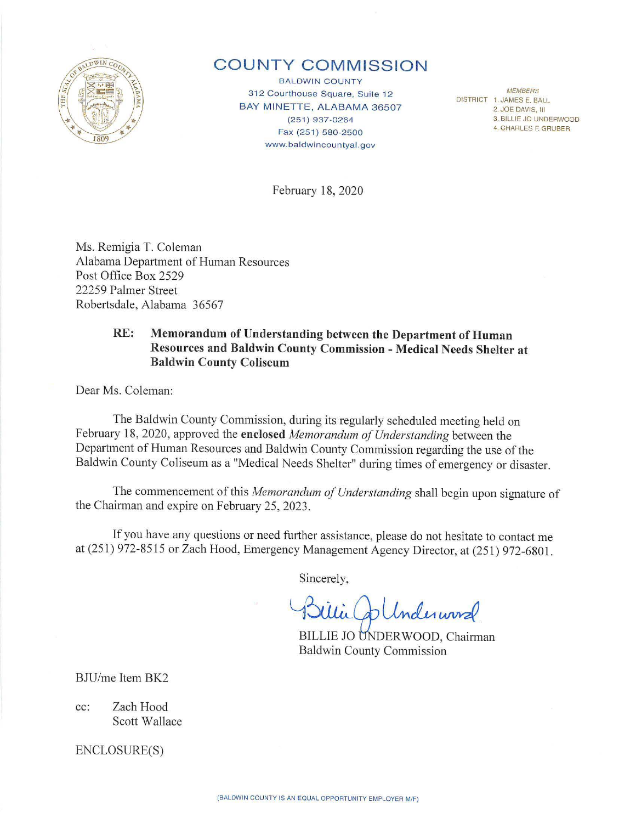

## **COUNTY COMMISSION**

BALDWIN COUNTY 312 Courthouse Square, Suite 12 BAY MINETTE, ALABAMA 36507 (251) 937-0264 Fax (251) 580-2500 www.baldwincountyal.gov

*MEMBERS*  DISTRICT 1. JAMES E. BALL 2. JOE DAVIS, Ill 3. BILLIE JO UNDERWOOD 4. CHARLES F. GRUBER

February 18, 2020

Ms. Remigia T. Coleman Alabama Department of Human Resources Post Office Box 2529 22259 Palmer Street Robertsdale, Alabama 36567

## **RE: Memorandum of Understanding between the Department of Human Resources and Baldwin County Commission - Medical Needs Shelter at Baldwin County Coliseum**

Dear Ms. Coleman:

The Baldwin County Commission, during its regularly scheduled meeting held on February 18, 2020, approved the **enclosed** *Memorandum of Understanding* between the Department of Human Resources and Baldwin County Commission regarding the use of the Baldwin County Coliseum as a "Medical Needs Shelter" during times of emergency or disaster.

The commencement of this *Memorandum of Understanding* shall begin upon signature of the Chairman and expire on February 25, 2023.

If you have any questions or need further assistance, please do not hesitate to contact me at (251) 972-8515 or Zach Hood, Emergency Management Agency Director, at (25 1) 972-6801.

Sincerely,

Blui Wholewood<br>BILLIE JO UNDERWOOD. Chairman

Baldwin County Commission

BJU/me Item BK2

cc: Zach Hood Scott Wallace

ENCLOSURE(S)